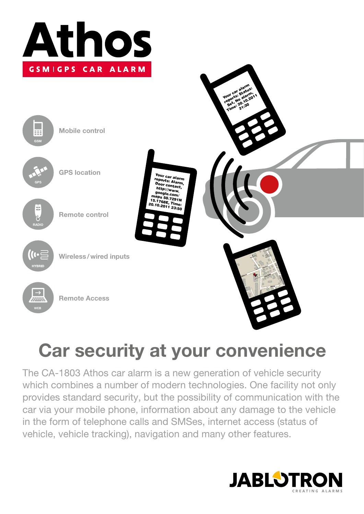



# **Car security at your convenience**

The CA-1803 Athos car alarm is a new generation of vehicle security which combines a number of modern technologies. One facility not only provides standard security, but the possibility of communication with the car via your mobile phone, information about any damage to the vehicle in the form of telephone calls and SMSes, internet access (status of vehicle, vehicle tracking), navigation and many other features.